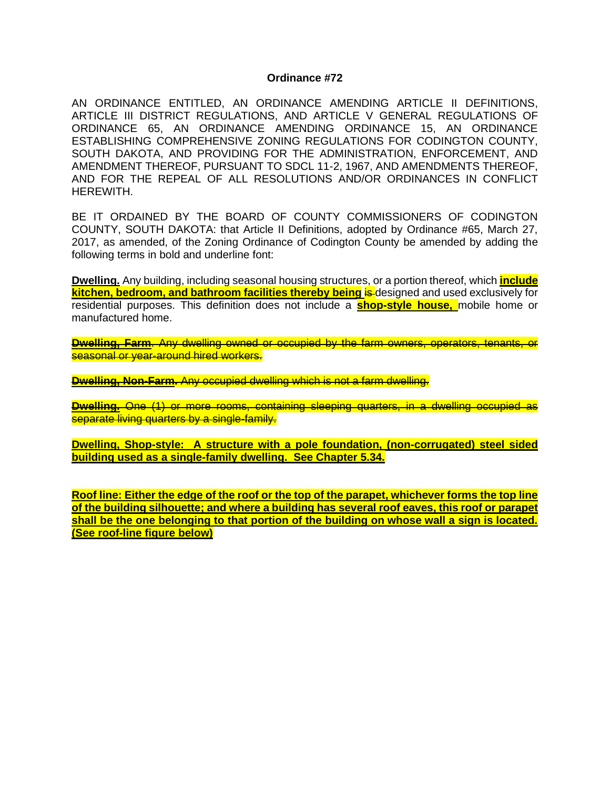#### **Ordinance #72**

AN ORDINANCE ENTITLED, AN ORDINANCE AMENDING ARTICLE II DEFINITIONS, ARTICLE III DISTRICT REGULATIONS, AND ARTICLE V GENERAL REGULATIONS OF ORDINANCE 65, AN ORDINANCE AMENDING ORDINANCE 15, AN ORDINANCE ESTABLISHING COMPREHENSIVE ZONING REGULATIONS FOR CODINGTON COUNTY, SOUTH DAKOTA, AND PROVIDING FOR THE ADMINISTRATION, ENFORCEMENT, AND AMENDMENT THEREOF, PURSUANT TO SDCL 11-2, 1967, AND AMENDMENTS THEREOF, AND FOR THE REPEAL OF ALL RESOLUTIONS AND/OR ORDINANCES IN CONFLICT HEREWITH.

BE IT ORDAINED BY THE BOARD OF COUNTY COMMISSIONERS OF CODINGTON COUNTY, SOUTH DAKOTA: that Article II Definitions, adopted by Ordinance #65, March 27, 2017, as amended, of the Zoning Ordinance of Codington County be amended by adding the following terms in bold and underline font:

**Dwelling.** Any building, including seasonal housing structures, or a portion thereof, which **include kitchen, bedroom, and bathroom facilities thereby being is designed and used exclusively for** residential purposes. This definition does not include a **shop-style house,** mobile home or manufactured home.

**Dwelling, Farm**. Any dwelling owned or occupied by the farm owners, operators, tenants, or seasonal or year-around hired workers.

**Dwelling, Non-Farm.** Any occupied dwelling which is not a farm dwelling.

**Dwelling.** One (1) or more rooms, containing sleeping quarters, in a dwelling occupied as separate living quarters by a single-family.

**Dwelling, Shop-style: A structure with a pole foundation, (non-corrugated) steel sided building used as a single-family dwelling. See Chapter 5.34.**

**Roof line: Either the edge of the roof or the top of the parapet, whichever forms the top line of the building silhouette; and where a building has several roof eaves, this roof or parapet shall be the one belonging to that portion of the building on whose wall a sign is located. (See roof-line figure below)**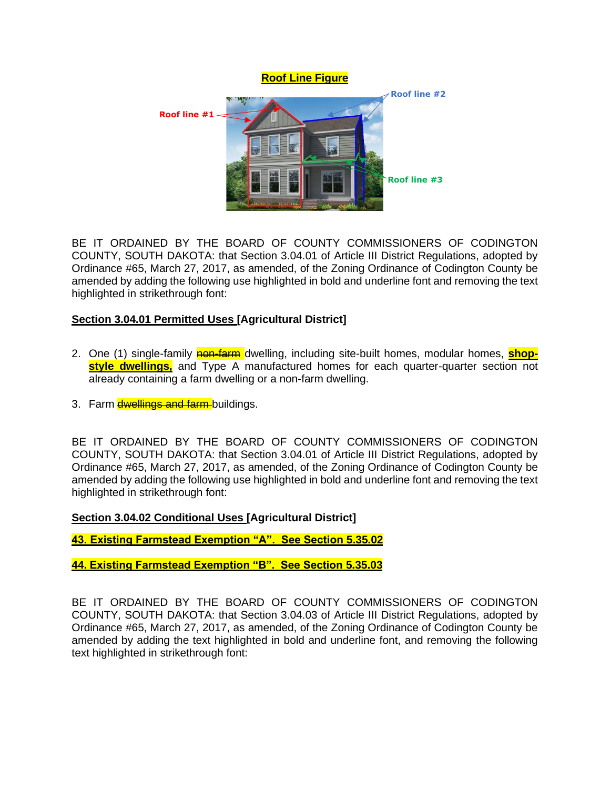

BE IT ORDAINED BY THE BOARD OF COUNTY COMMISSIONERS OF CODINGTON COUNTY, SOUTH DAKOTA: that Section 3.04.01 of Article III District Regulations, adopted by Ordinance #65, March 27, 2017, as amended, of the Zoning Ordinance of Codington County be amended by adding the following use highlighted in bold and underline font and removing the text highlighted in strikethrough font:

# **Section 3.04.01 Permitted Uses [Agricultural District]**

- 2. One (1) single-family **non-farm** dwelling, including site-built homes, modular homes, **shopstyle dwellings,** and Type A manufactured homes for each quarter-quarter section not already containing a farm dwelling or a non-farm dwelling.
- 3. Farm dwellings and farm-buildings.

BE IT ORDAINED BY THE BOARD OF COUNTY COMMISSIONERS OF CODINGTON COUNTY, SOUTH DAKOTA: that Section 3.04.01 of Article III District Regulations, adopted by Ordinance #65, March 27, 2017, as amended, of the Zoning Ordinance of Codington County be amended by adding the following use highlighted in bold and underline font and removing the text highlighted in strikethrough font:

## **Section 3.04.02 Conditional Uses [Agricultural District]**

**43. Existing Farmstead Exemption "A". See Section 5.35.02**

**44. Existing Farmstead Exemption "B". See Section 5.35.03**

BE IT ORDAINED BY THE BOARD OF COUNTY COMMISSIONERS OF CODINGTON COUNTY, SOUTH DAKOTA: that Section 3.04.03 of Article III District Regulations, adopted by Ordinance #65, March 27, 2017, as amended, of the Zoning Ordinance of Codington County be amended by adding the text highlighted in bold and underline font, and removing the following text highlighted in strikethrough font: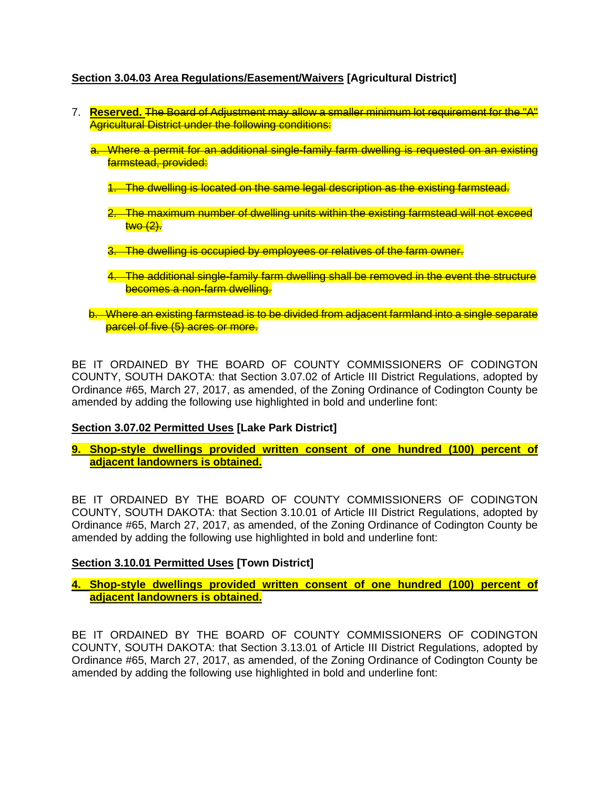# **Section 3.04.03 Area Regulations/Easement/Waivers [Agricultural District]**

- 7. **Reserved.** The Board of Adjustment may allow a smaller minimum lot requirement for the "A" Agricultural District under the following conditions:
	- a. Where a permit for an additional single-family farm dwelling is requested on an existing farmstead, provided:
		- 1. The dwelling is located on the same legal description as the existing farmstead.
		- 2. The maximum number of dwelling units within the existing farmstead will not exceed two (2).
		- 3. The dwelling is occupied by employees or relatives of the farm owner.
		- 4. The additional single-family farm dwelling shall be removed in the event the structure becomes a non-farm dwelling.
	- b. Where an existing farmstead is to be divided from adjacent farmland into a single separate parcel of five (5) acres or more.

BE IT ORDAINED BY THE BOARD OF COUNTY COMMISSIONERS OF CODINGTON COUNTY, SOUTH DAKOTA: that Section 3.07.02 of Article III District Regulations, adopted by Ordinance #65, March 27, 2017, as amended, of the Zoning Ordinance of Codington County be amended by adding the following use highlighted in bold and underline font:

## **Section 3.07.02 Permitted Uses [Lake Park District]**

**9. Shop-style dwellings provided written consent of one hundred (100) percent of adjacent landowners is obtained.**

BE IT ORDAINED BY THE BOARD OF COUNTY COMMISSIONERS OF CODINGTON COUNTY, SOUTH DAKOTA: that Section 3.10.01 of Article III District Regulations, adopted by Ordinance #65, March 27, 2017, as amended, of the Zoning Ordinance of Codington County be amended by adding the following use highlighted in bold and underline font:

## **Section 3.10.01 Permitted Uses [Town District]**

**4. Shop-style dwellings provided written consent of one hundred (100) percent of adjacent landowners is obtained.**

BE IT ORDAINED BY THE BOARD OF COUNTY COMMISSIONERS OF CODINGTON COUNTY, SOUTH DAKOTA: that Section 3.13.01 of Article III District Regulations, adopted by Ordinance #65, March 27, 2017, as amended, of the Zoning Ordinance of Codington County be amended by adding the following use highlighted in bold and underline font: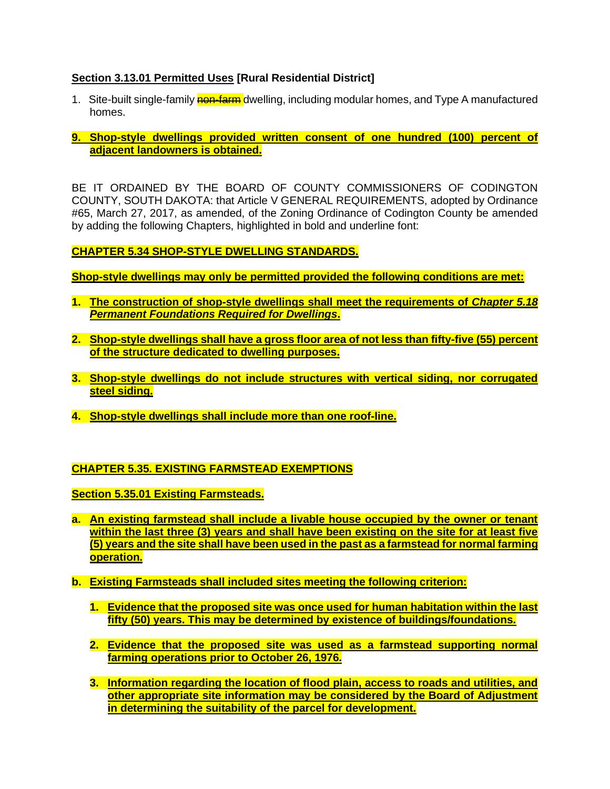## **Section 3.13.01 Permitted Uses [Rural Residential District]**

- 1. Site-built single-family non-farm dwelling, including modular homes, and Type A manufactured homes.
- **9. Shop-style dwellings provided written consent of one hundred (100) percent of adjacent landowners is obtained.**

BE IT ORDAINED BY THE BOARD OF COUNTY COMMISSIONERS OF CODINGTON COUNTY, SOUTH DAKOTA: that Article V GENERAL REQUIREMENTS, adopted by Ordinance #65, March 27, 2017, as amended, of the Zoning Ordinance of Codington County be amended by adding the following Chapters, highlighted in bold and underline font:

#### **CHAPTER 5.34 SHOP-STYLE DWELLING STANDARDS.**

**Shop-style dwellings may only be permitted provided the following conditions are met:**

- **1. The construction of shop-style dwellings shall meet the requirements of** *Chapter 5.18 Permanent Foundations Required for Dwellings***.**
- **2. Shop-style dwellings shall have a gross floor area of not less than fifty-five (55) percent of the structure dedicated to dwelling purposes.**
- **3. Shop-style dwellings do not include structures with vertical siding, nor corrugated steel siding.**
- **4. Shop-style dwellings shall include more than one roof-line.**

## **CHAPTER 5.35. EXISTING FARMSTEAD EXEMPTIONS**

**Section 5.35.01 Existing Farmsteads.** 

- **a. An existing farmstead shall include a livable house occupied by the owner or tenant within the last three (3) years and shall have been existing on the site for at least five (5) years and the site shall have been used in the past as a farmstead for normal farming operation.**
- **b. Existing Farmsteads shall included sites meeting the following criterion:** 
	- **1. Evidence that the proposed site was once used for human habitation within the last fifty (50) years. This may be determined by existence of buildings/foundations.**
	- **2. Evidence that the proposed site was used as a farmstead supporting normal farming operations prior to October 26, 1976.**
	- **3. Information regarding the location of flood plain, access to roads and utilities, and other appropriate site information may be considered by the Board of Adjustment in determining the suitability of the parcel for development.**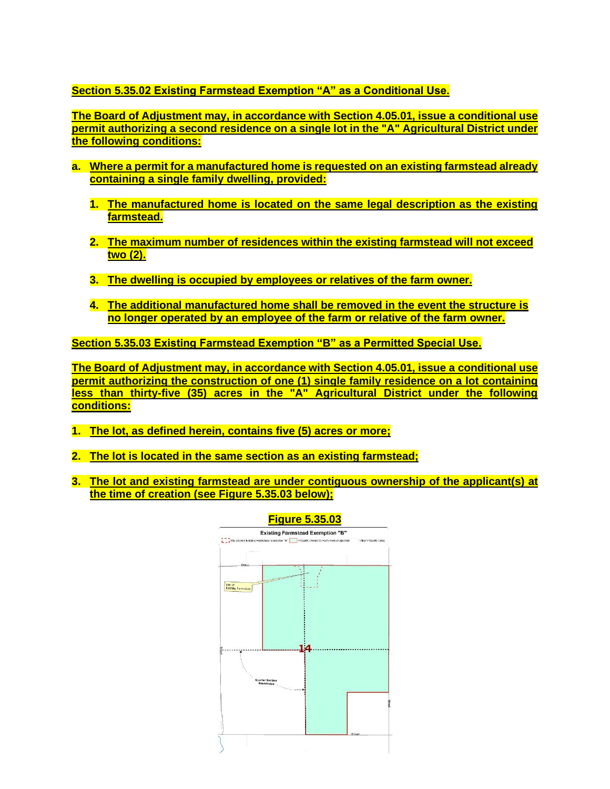**Section 5.35.02 Existing Farmstead Exemption "A" as a Conditional Use.** 

**The Board of Adjustment may, in accordance with Section 4.05.01, issue a conditional use permit authorizing a second residence on a single lot in the "A" Agricultural District under the following conditions:**

- **a. Where a permit for a manufactured home is requested on an existing farmstead already containing a single family dwelling, provided:** 
	- **1. The manufactured home is located on the same legal description as the existing farmstead.**
	- **2. The maximum number of residences within the existing farmstead will not exceed two (2).**
	- **3. The dwelling is occupied by employees or relatives of the farm owner.**
	- **4. The additional manufactured home shall be removed in the event the structure is no longer operated by an employee of the farm or relative of the farm owner.**

**Section 5.35.03 Existing Farmstead Exemption "B" as a Permitted Special Use.** 

**The Board of Adjustment may, in accordance with Section 4.05.01, issue a conditional use permit authorizing the construction of one (1) single family residence on a lot containing less than thirty-five (35) acres in the "A" Agricultural District under the following conditions:**

- **1. The lot, as defined herein, contains five (5) acres or more;**
- **2. The lot is located in the same section as an existing farmstead;**
- **3. The lot and existing farmstead are under contiguous ownership of the applicant(s) at the time of creation (see Figure 5.35.03 below);**